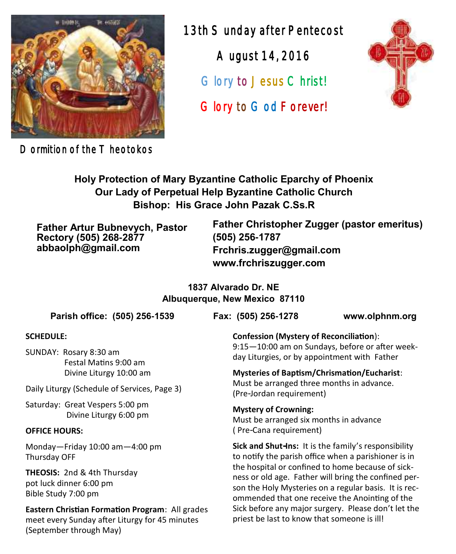

Dormition of the T heotokos

13th Sunday after Pentecost August 14, 2016 Glory to Jesus Christ! Glory to God Forever!



**Holy Protection of Mary Byzantine Catholic Eparchy of Phoenix Our Lady of Perpetual Help Byzantine Catholic Church Bishop: His Grace John Pazak C.Ss.R**

**Father Artur Bubnevych, Pastor Rectory (505) 268-2877 abbaolph@gmail.com**

**Father Christopher Zugger (pastor emeritus) (505) 256-1787 Frchris.zugger@gmail.com www.frchriszugger.com** 

**1837 Alvarado Dr. NE Albuquerque, New Mexico 87110**

**Parish office: (505) 256-1539 Fax: (505) 256-1278 www.olphnm.org**

#### **SCHEDULE:**

SUNDAY: Rosary 8:30 am Festal Matins 9:00 am Divine Liturgy 10:00 am

Daily Liturgy (Schedule of Services, Page 3)

Saturday: Great Vespers 5:00 pm Divine Liturgy 6:00 pm

#### **OFFICE HOURS:**

Monday—Friday 10:00 am—4:00 pm Thursday OFF

**THEOSIS:** 2nd & 4th Thursday pot luck dinner 6:00 pm Bible Study 7:00 pm

**Eastern Christian Formation Program**: All grades meet every Sunday after Liturgy for 45 minutes (September through May)

**Confession (Mystery of Reconciliation**): 9:15—10:00 am on Sundays, before or after weekday Liturgies, or by appointment with Father

**Mysteries of Baptism/Chrismation/Eucharist**: Must be arranged three months in advance. (Pre-Jordan requirement)

**Mystery of Crowning:**  Must be arranged six months in advance ( Pre-Cana requirement)

**Sick and Shut-Ins:** It is the family's responsibility to notify the parish office when a parishioner is in the hospital or confined to home because of sickness or old age. Father will bring the confined person the Holy Mysteries on a regular basis. It is recommended that one receive the Anointing of the Sick before any major surgery. Please don't let the priest be last to know that someone is ill!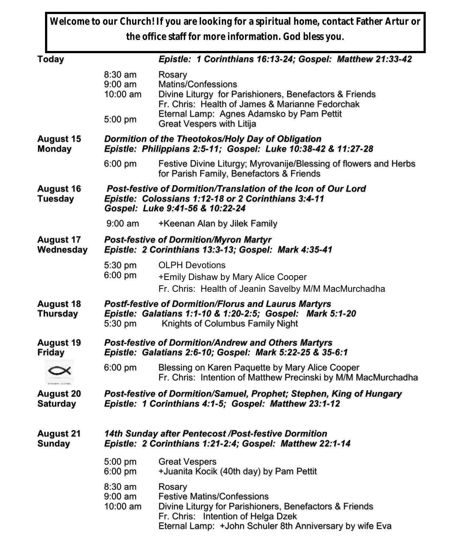**Welcome to our Church! If you are looking for a spiritual home, contact Father Artur or the office staff for more information. God bless you.**

| <b>Today</b>                        |                                                                                                                                                                         | Epistle: 1 Corinthians 16:13-24; Gospel: Matthew 21:33-42                                                                                                                                              |  |  |
|-------------------------------------|-------------------------------------------------------------------------------------------------------------------------------------------------------------------------|--------------------------------------------------------------------------------------------------------------------------------------------------------------------------------------------------------|--|--|
|                                     | 8:30 am<br>$9:00$ am<br>10:00 am                                                                                                                                        | Rosary<br>Matins/Confessions<br>Divine Liturgy for Parishioners, Benefactors & Friends<br>Fr. Chris: Health of James & Marianne Fedorchak<br>Eternal Lamp: Agnes Adamsko by Pam Pettit                 |  |  |
|                                     | 5:00 pm                                                                                                                                                                 | Great Vespers with Litija                                                                                                                                                                              |  |  |
| <b>August 15</b><br><b>Monday</b>   | Dormition of the Theotokos/Holy Day of Obligation<br>Epistle: Philippians 2:5-11; Gospel: Luke 10:38-42 & 11:27-28                                                      |                                                                                                                                                                                                        |  |  |
|                                     | $6:00$ pm                                                                                                                                                               | Festive Divine Liturgy; Myrovanije/Blessing of flowers and Herbs<br>for Parish Family, Benefactors & Friends                                                                                           |  |  |
| <b>August 16</b><br><b>Tuesday</b>  | Post-festive of Dormition/Translation of the Icon of Our Lord<br>Epistle: Colossians 1:12-18 or 2 Corinthians 3:4-11<br>Gospel: Luke 9:41-56 & 10:22-24                 |                                                                                                                                                                                                        |  |  |
|                                     | $9:00 \text{ am}$                                                                                                                                                       | +Keenan Alan by Jilek Family                                                                                                                                                                           |  |  |
| <b>August 17</b><br>Wednesday       | <b>Post-festive of Dormition/Myron Martyr</b><br>Epistle: 2 Corinthians 13:3-13; Gospel: Mark 4:35-41                                                                   |                                                                                                                                                                                                        |  |  |
|                                     | 5:30 pm<br>6:00 pm                                                                                                                                                      | <b>OLPH Devotions</b><br>+Emily Dishaw by Mary Alice Cooper<br>Fr. Chris: Health of Jeanin Savelby M/M MacMurchadha                                                                                    |  |  |
| <b>August 18</b><br><b>Thursday</b> | <b>Postf-festive of Dormition/Florus and Laurus Martyrs</b><br>Epistle: Galatians 1:1-10 & 1:20-2:5; Gospel: Mark 5:1-20<br>5:30 pm<br>Knights of Columbus Family Night |                                                                                                                                                                                                        |  |  |
| <b>August 19</b><br><b>Friday</b>   | Post-festive of Dormition/Andrew and Others Martyrs<br>Epistle: Galatians 2:6-10; Gospel: Mark 5:22-25 & 35-6:1                                                         |                                                                                                                                                                                                        |  |  |
|                                     | $6:00$ pm                                                                                                                                                               | Blessing on Karen Paquette by Mary Alice Cooper<br>Fr. Chris: Intention of Matthew Precinski by M/M MacMurchadha                                                                                       |  |  |
| <b>August 20</b><br><b>Saturday</b> |                                                                                                                                                                         | Post-festive of Dormition/Samuel, Prophet; Stephen, King of Hungary<br>Epistle: 1 Corinthians 4:1-5; Gospel: Matthew 23:1-12                                                                           |  |  |
| <b>August 21</b><br><b>Sunday</b>   | 14th Sunday after Pentecost /Post-festive Dormition<br>Epistle: 2 Corinthians 1:21-2:4; Gospel: Matthew 22:1-14                                                         |                                                                                                                                                                                                        |  |  |
|                                     | 5:00 pm<br>$6:00$ pm                                                                                                                                                    | <b>Great Vespers</b><br>+Juanita Kocik (40th day) by Pam Pettit                                                                                                                                        |  |  |
|                                     | 8:30 am<br>$9:00$ am<br>10:00 am                                                                                                                                        | Rosary<br><b>Festive Matins/Confessions</b><br>Divine Liturgy for Parishioners, Benefactors & Friends<br>Fr. Chris: Intention of Helga Dzek<br>Eternal Lamp: +John Schuler 8th Anniversary by wife Eva |  |  |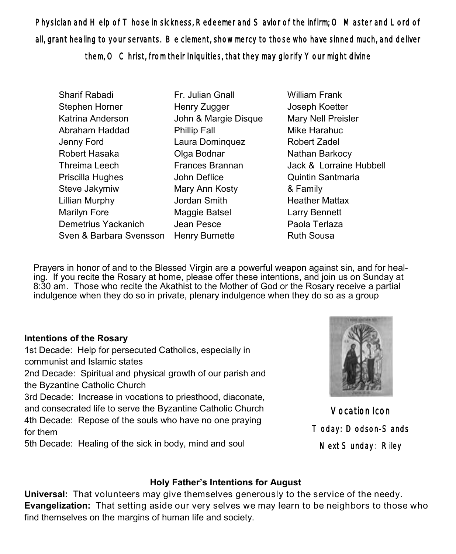Physician and Help of Those in sickness, Redeemer and Savior of the infirm; O Master and Lord of all, grant healing to your servants. Be clement, show mercy to those who have sinned much, and deliver them, O Christ, from their Iniquities, that they may glorify Your might divine

- Sharif Rabadi Stephen Horner Katrina Anderson Abraham Haddad Jenny Ford Robert Hasaka Threima Leech Priscilla Hughes Steve Jakymiw Lillian Murphy Marilyn Fore Demetrius Yackanich Sven & Barbara Svensson Fr. Julian Gnall Henry Zugger John & Margie Disque Phillip Fall Laura Dominquez Olga Bodnar Frances Brannan John Deflice Mary Ann Kosty Jordan Smith Maggie Batsel Jean Pesce Henry Burnette
- William Frank Joseph Koetter Mary Nell Preisler Mike Harahuc Robert Zadel Nathan Barkocy Jack & Lorraine Hubbell Quintin Santmaria & Family Heather Mattax Larry Bennett Paola Terlaza Ruth Sousa

Prayers in honor of and to the Blessed Virgin are a powerful weapon against sin, and for healing. If you recite the Rosary at home, please offer these intentions, and join us on Sunday at 8:30 am. Those who recite the Akathist to the Mother of God or the Rosary receive a partial indulgence when they do so in private, plenary indulgence when they do so as a group

#### **Intentions of the Rosary**

1st Decade: Help for persecuted Catholics, especially in communist and Islamic states 2nd Decade: Spiritual and physical growth of our parish and the Byzantine Catholic Church

3rd Decade: Increase in vocations to priesthood, diaconate, and consecrated life to serve the Byzantine Catholic Church 4th Decade: Repose of the souls who have no one praying for them

5th Decade: Healing of the sick in body, mind and soul



Vocation Icon Today: Dodson-Sands Next Sunday: Riley

### **Holy Father's Intentions for August**

**Universal:** That volunteers may give themselves generously to the service of the needy. **Evangelization:** That setting aside our very selves we may learn to be neighbors to those who find themselves on the margins of human life and society.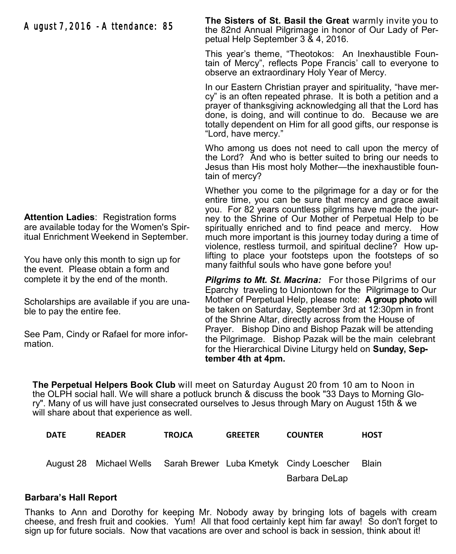## August 7, 2016 - Attendance: 85

**The Sisters of St. Basil the Great** warmly invite you to the 82nd Annual Pilgrimage in honor of Our Lady of Perpetual Help September 3 & 4, 2016.

This year's theme, "Theotokos: An Inexhaustible Fountain of Mercy", reflects Pope Francis' call to everyone to observe an extraordinary Holy Year of Mercy.

In our Eastern Christian prayer and spirituality, "have mercy" is an often repeated phrase. It is both a petition and a prayer of thanksgiving acknowledging all that the Lord has done, is doing, and will continue to do. Because we are totally dependent on Him for all good gifts, our response is "Lord, have mercy."

Who among us does not need to call upon the mercy of the Lord? And who is better suited to bring our needs to Jesus than His most holy Mother—the inexhaustible fountain of mercy?

Whether you come to the pilgrimage for a day or for the entire time, you can be sure that mercy and grace await you. For 82 years countless pilgrims have made the journey to the Shrine of Our Mother of Perpetual Help to be spiritually enriched and to find peace and mercy. How much more important is this journey today during a time of violence, restless turmoil, and spiritual decline? How uplifting to place your footsteps upon the footsteps of so many faithful souls who have gone before you!

*Pilgrims to Mt. St. Macrina:* For those Pilgrims of our Eparchy traveling to Uniontown for the Pilgrimage to Our Mother of Perpetual Help, please note: **A group photo** will be taken on Saturday, September 3rd at 12:30pm in front of the Shrine Altar, directly across from the House of Prayer. Bishop Dino and Bishop Pazak will be attending the Pilgrimage. Bishop Pazak will be the main celebrant for the Hierarchical Divine Liturgy held on **Sunday, September 4th at 4pm.**

**The Perpetual Helpers Book Club** will meet on Saturday August 20 from 10 am to Noon in the OLPH social hall. We will share a potluck brunch & discuss the book "33 Days to Morning Glory". Many of us will have just consecrated ourselves to Jesus through Mary on August 15th & we will share about that experience as well.

| <b>DATE</b> | <b>READER</b> | <b>TROJCA</b> | <b>GREETER</b> | <b>COUNTER</b>                                                  | <b>HOST</b>  |
|-------------|---------------|---------------|----------------|-----------------------------------------------------------------|--------------|
|             |               |               |                | August 28 Michael Wells Sarah Brewer Luba Kmetyk Cindy Loescher | <b>Blain</b> |
|             |               |               |                | Barbara DeLap                                                   |              |

#### **Barbara's Hall Report**

Thanks to Ann and Dorothy for keeping Mr. Nobody away by bringing lots of bagels with cream cheese, and fresh fruit and cookies. Yum! All that food certainly kept him far away! So don't forget to sign up for future socials. Now that vacations are over and school is back in session, think about it!

**Attention Ladies**: Registration forms are available today for the Women's Spiritual Enrichment Weekend in September.

You have only this month to sign up for the event. Please obtain a form and complete it by the end of the month.

Scholarships are available if you are unable to pay the entire fee.

See Pam, Cindy or Rafael for more information.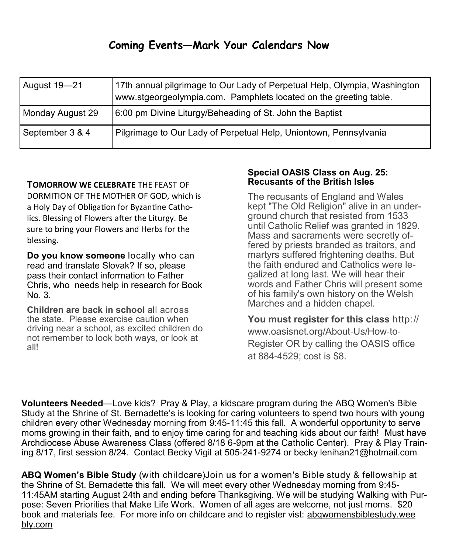# **Coming Events—Mark Your Calendars Now**

| August 19-21     | 17th annual pilgrimage to Our Lady of Perpetual Help, Olympia, Washington<br>www.stgeorgeolympia.com. Pamphlets located on the greeting table. |
|------------------|------------------------------------------------------------------------------------------------------------------------------------------------|
| Monday August 29 | 6:00 pm Divine Liturgy/Beheading of St. John the Baptist                                                                                       |
| September 3 & 4  | Pilgrimage to Our Lady of Perpetual Help, Uniontown, Pennsylvania                                                                              |

#### **TOMORROW WE CELEBRATE** THE FEAST OF

DORMITION OF THE MOTHER OF GOD, which is a Holy Day of Obligation for Byzantine Catholics. Blessing of Flowers after the Liturgy. Be sure to bring your Flowers and Herbs for the blessing.

**Do you know someone** locally who can read and translate Slovak? If so, please pass their contact information to Father Chris, who needs help in research for Book No. 3.

**Children are back in school** all across the state. Please exercise caution when driving near a school, as excited children do not remember to look both ways, or look at all!

#### **Special OASIS Class on Aug. 25: Recusants of the British Isles**

The recusants of England and Wales kept "The Old Religion" alive in an underground church that resisted from 1533 until Catholic Relief was granted in 1829. Mass and sacraments were secretly offered by priests branded as traitors, and martyrs suffered frightening deaths. But the faith endured and Catholics were legalized at long last. We will hear their words and Father Chris will present some of his family's own history on the Welsh Marches and a hidden chapel.

**You must register for this class** http:// www.oasisnet.org/About-Us/How-to-Register OR by calling the OASIS office at 884-4529; cost is \$8.

**Volunteers Needed**—Love kids? Pray & Play, a kidscare program during the ABQ Women's Bible Study at the Shrine of St. Bernadette's is looking for caring volunteers to spend two hours with young children every other Wednesday morning from 9:45-11:45 this fall. A wonderful opportunity to serve moms growing in their faith, and to enjoy time caring for and teaching kids about our faith! Must have Archdiocese Abuse Awareness Class (offered 8/18 6-9pm at the Catholic Center). Pray & Play Training 8/17, first session 8/24. Contact Becky Vigil at 505-241-9274 or [becky lenihan21@hotmail.com](mailto:beckylenihan21@hotmail.com)

**ABQ Women's Bible Study** (with childcare)Join us for a women's Bible study & fellowship at the Shrine of St. Bernadette this fall. We will meet every other Wednesday morning from 9:45- 11:45AM starting August 24th and ending before Thanksgiving. We will be studying Walking with Purpose: Seven Priorities that Make Life Work. Women of all ages are welcome, not just moms. \$20 book and materials fee. For more info on childcare and to register vist: [abqwomensbiblestudy.wee](http://abqwomensbiblestudy.weebly.com/)  [bly.com](http://abqwomensbiblestudy.weebly.com/)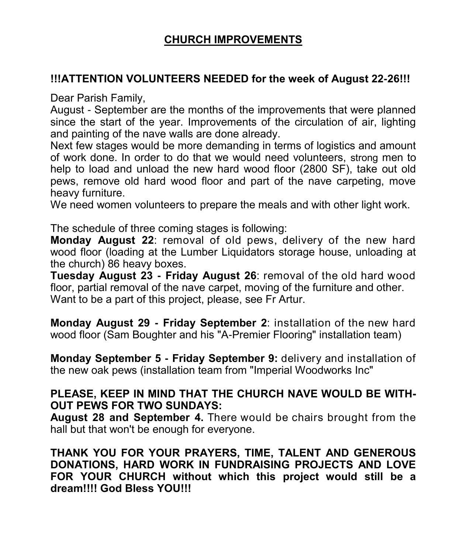# **CHURCH IMPROVEMENTS**

## **!!!ATTENTION VOLUNTEERS NEEDED for the week of August 22-26!!!**

Dear Parish Family,

August - September are the months of the improvements that were planned since the start of the year. Improvements of the circulation of air, lighting and painting of the nave walls are done already.

Next few stages would be more demanding in terms of logistics and amount of work done. In order to do that we would need volunteers, strong men to help to load and unload the new hard wood floor (2800 SF), take out old pews, remove old hard wood floor and part of the nave carpeting, move heavy furniture.

We need women volunteers to prepare the meals and with other light work.

The schedule of three coming stages is following:

**Monday August 22**: removal of old pews, delivery of the new hard wood floor (loading at the Lumber Liquidators storage house, unloading at the church) 86 heavy boxes.

**Tuesday August 23 - Friday August 26**: removal of the old hard wood floor, partial removal of the nave carpet, moving of the furniture and other. Want to be a part of this project, please, see Fr Artur.

**Monday August 29 - Friday September 2**: installation of the new hard wood floor (Sam Boughter and his "A-Premier Flooring" installation team)

**Monday September 5 - Friday September 9:** delivery and installation of the new oak pews (installation team from "Imperial Woodworks Inc"

## **PLEASE, KEEP IN MIND THAT THE CHURCH NAVE WOULD BE WITH-OUT PEWS FOR TWO SUNDAYS:**

**August 28 and September 4.** There would be chairs brought from the hall but that won't be enough for everyone.

**THANK YOU FOR YOUR PRAYERS, TIME, TALENT AND GENEROUS DONATIONS, HARD WORK IN FUNDRAISING PROJECTS AND LOVE FOR YOUR CHURCH without which this project would still be a dream!!!! God Bless YOU!!!**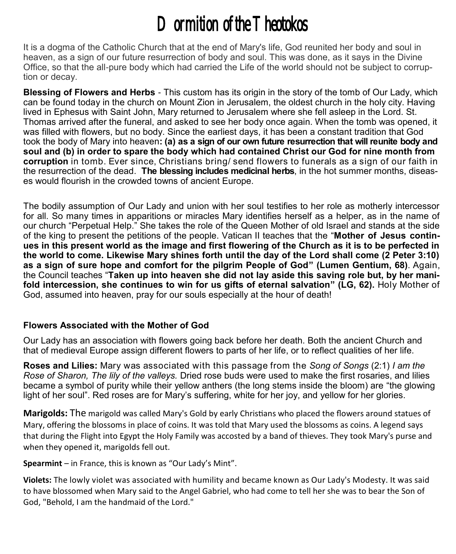# Dormition of the Theotokos

It is a dogma of the Catholic Church that at the end of Mary's life, God reunited her body and soul in heaven, as a sign of our future resurrection of body and soul. This was done, as it says in the Divine Office, so that the all-pure body which had carried the Life of the world should not be subject to corruption or decay.

**Blessing of Flowers and Herbs** - This custom has its origin in the story of the tomb of Our Lady, which can be found today in the church on Mount Zion in Jerusalem, the oldest church in the holy city. Having lived in Ephesus with Saint John, Mary returned to Jerusalem where she fell asleep in the Lord. St. Thomas arrived after the funeral, and asked to see her body once again. When the tomb was opened, it was filled with flowers, but no body. Since the earliest days, it has been a constant tradition that God took the body of Mary into heaven**: (a) as a sign of our own future resurrection that will reunite body and soul and (b) in order to spare the body which had contained Christ our God for nine month from corruption** in tomb. Ever since, Christians bring/ send flowers to funerals as a sign of our faith in the resurrection of the dead. **The blessing includes medicinal herbs**, in the hot summer months, diseases would flourish in the crowded towns of ancient Europe.

The bodily assumption of Our Lady and union with her soul testifies to her role as motherly intercessor for all. So many times in apparitions or miracles Mary identifies herself as a helper, as in the name of our church "Perpetual Help." She takes the role of the Queen Mother of old Israel and stands at the side of the king to present the petitions of the people. Vatican II teaches that the "**Mother of Jesus continues in this present world as the image and first flowering of the Church as it is to be perfected in the world to come. Likewise Mary shines forth until the day of the Lord shall come (2 Peter 3:10) as a sign of sure hope and comfort for the pilgrim People of God" (Lumen Gentium, 68)**. Again, the Council teaches "**Taken up into heaven she did not lay aside this saving role but, by her manifold intercession, she continues to win for us gifts of eternal salvation" (LG, 62).** Holy Mother of God, assumed into heaven, pray for our souls especially at the hour of death!

#### **Flowers Associated with the Mother of God**

Our Lady has an association with flowers going back before her death. Both the ancient Church and that of medieval Europe assign different flowers to parts of her life, or to reflect qualities of her life.

**Roses and Lilies:** Mary was associated with this passage from the *Song of Songs* (2:1) *I am the Rose of Sharon, The lily of the valleys.* Dried rose buds were used to make the first rosaries, and lilies became a symbol of purity while their yellow anthers (the long stems inside the bloom) are "the glowing light of her soul". Red roses are for Mary's suffering, white for her joy, and yellow for her glories.

**Marigolds:** The marigold was called Mary's Gold by early Christians who placed the flowers around statues of Mary, offering the blossoms in place of coins. It was told that Mary used the blossoms as coins. A legend says that during the Flight into Egypt the Holy Family was accosted by a band of thieves. They took Mary's purse and when they opened it, marigolds fell out.

**Spearmint** – in France, this is known as "Our Lady's Mint".

**Violets:** The lowly violet was associated with humility and became known as Our Lady's Modesty. It was said to have blossomed when Mary said to the Angel Gabriel, who had come to tell her she was to bear the Son of God, "Behold, I am the handmaid of the Lord."